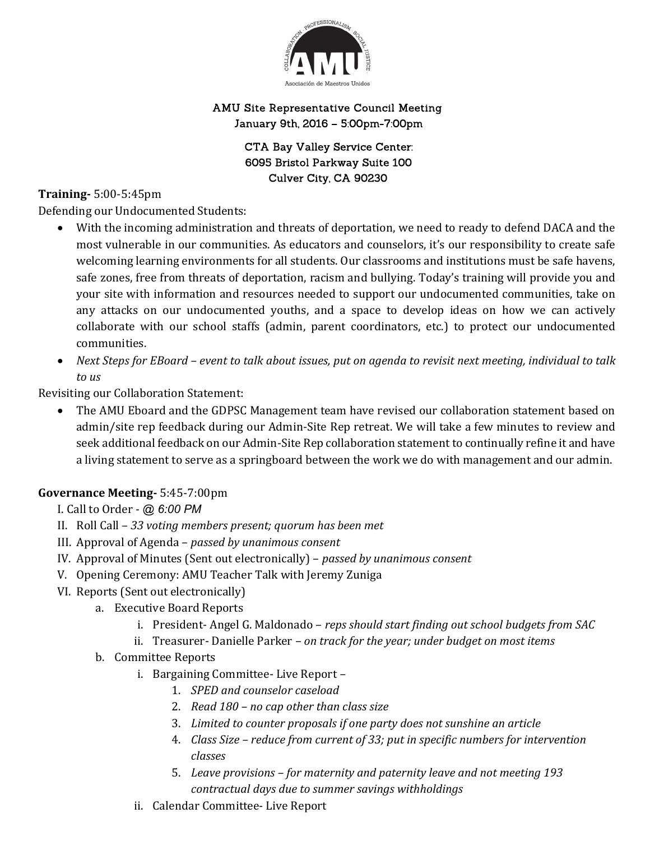

## AMU Site Representative Council Meeting January 9th, 2016 - 5:00pm-7:00pm

**CTA Bay Valley Service Center:** 6095 Bristol Parkway Suite 100 Culver City, CA 90230

## Training- 5:00-5:45pm

Defending our Undocumented Students:

- With the incoming administration and threats of deportation, we need to ready to defend DACA and the most vulnerable in our communities. As educators and counselors, it's our responsibility to create safe welcoming learning environments for all students. Our classrooms and institutions must be safe havens, safe zones, free from threats of deportation, racism and bullying. Today's training will provide you and your site with information and resources needed to support our undocumented communities, take on any attacks on our undocumented youths, and a space to develop ideas on how we can actively collaborate with our school staffs (admin, parent coordinators, etc.) to protect our undocumented communities.
- Next Steps for EBoard event to talk about issues, put on agenda to revisit next meeting, individual to talk to us

Revisiting our Collaboration Statement:

 The AMU Eboard and the GDPSC Management team have revised our collaboration statement based on admin/site rep feedback during our Admin-Site Rep retreat. We will take a few minutes to review and seek additional feedback on our Admin-Site Rep collaboration statement to continually refine it and have a living statement to serve as a springboard between the work we do with management and our admin.

## Governance Meeting- 5:45-7:00pm

I. Call to Order - @ 6:00 PM

- II. Roll Call 33 voting members present; quorum has been met
- III. Approval of Agenda passed by unanimous consent
- IV. Approval of Minutes (Sent out electronically) passed by unanimous consent
- V. Opening Ceremony: AMU Teacher Talk with Jeremy Zuniga
- VI. Reports (Sent out electronically)
	- a. Executive Board Reports
		- i. President- Angel G. Maldonado reps should start finding out school budgets from SAC
		- ii. Treasurer- Danielle Parker on track for the year; under budget on most items
	- b. Committee Reports
		- i. Bargaining Committee- Live Report
			- 1. SPED and counselor caseload
			- 2. Read 180 no cap other than class size
			- 3. Limited to counter proposals if one party does not sunshine an article
			- 4. Class Size reduce from current of 33; put in specific numbers for intervention classes
			- 5. Leave provisions for maternity and paternity leave and not meeting 193 contractual days due to summer savings withholdings
		- ii. Calendar Committee- Live Report